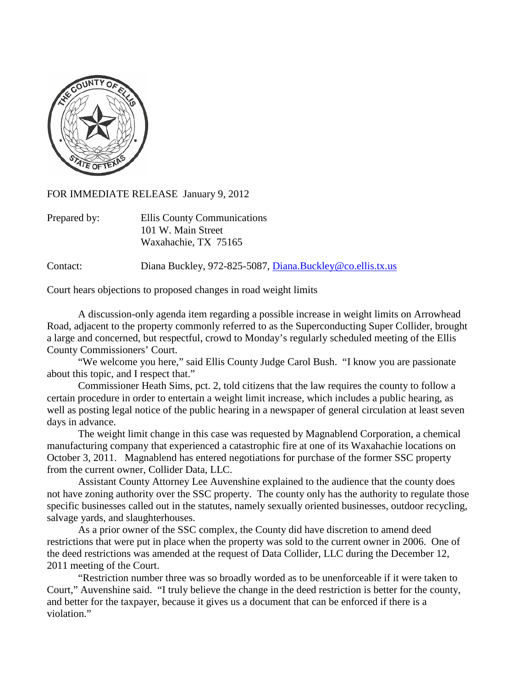

FOR IMMEDIATE RELEASE January 9, 2012

| Prepared by: | Ellis County Communications |
|--------------|-----------------------------|
|              | 101 W. Main Street          |
|              | Waxahachie, TX 75165        |

Contact: Diana Buckley, 972-825-5087, [Diana.Buckley@co.ellis.tx.us](mailto:Diana.Buckley@co.ellis.tx.us)

Court hears objections to proposed changes in road weight limits

A discussion-only agenda item regarding a possible increase in weight limits on Arrowhead Road, adjacent to the property commonly referred to as the Superconducting Super Collider, brought a large and concerned, but respectful, crowd to Monday's regularly scheduled meeting of the Ellis County Commissioners' Court.

"We welcome you here," said Ellis County Judge Carol Bush. "I know you are passionate about this topic, and I respect that."

Commissioner Heath Sims, pct. 2, told citizens that the law requires the county to follow a certain procedure in order to entertain a weight limit increase, which includes a public hearing, as well as posting legal notice of the public hearing in a newspaper of general circulation at least seven days in advance.

The weight limit change in this case was requested by Magnablend Corporation, a chemical manufacturing company that experienced a catastrophic fire at one of its Waxahachie locations on October 3, 2011. Magnablend has entered negotiations for purchase of the former SSC property from the current owner, Collider Data, LLC.

Assistant County Attorney Lee Auvenshine explained to the audience that the county does not have zoning authority over the SSC property. The county only has the authority to regulate those specific businesses called out in the statutes, namely sexually oriented businesses, outdoor recycling, salvage yards, and slaughterhouses.

As a prior owner of the SSC complex, the County did have discretion to amend deed restrictions that were put in place when the property was sold to the current owner in 2006. One of the deed restrictions was amended at the request of Data Collider, LLC during the December 12, 2011 meeting of the Court.

"Restriction number three was so broadly worded as to be unenforceable if it were taken to Court," Auvenshine said. "I truly believe the change in the deed restriction is better for the county, and better for the taxpayer, because it gives us a document that can be enforced if there is a violation."